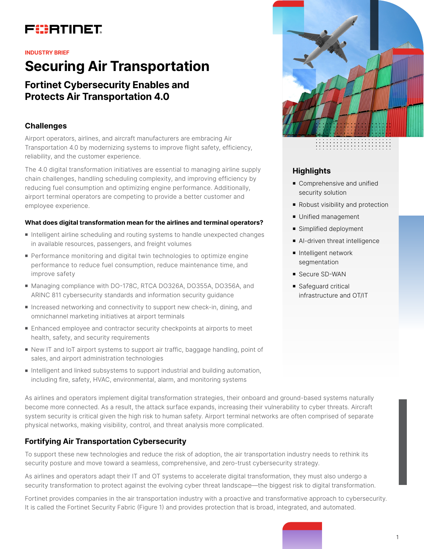# FURTINET

#### **INDUSTRY BRIEF**

# **Securing Air Transportation**

# **Fortinet Cybersecurity Enables and Protects Air Transportation 4.0**

## **Challenges**

Airport operators, airlines, and aircraft manufacturers are embracing Air Transportation 4.0 by modernizing systems to improve flight safety, efficiency, reliability, and the customer experience.

The 4.0 digital transformation initiatives are essential to managing airline supply chain challenges, handling scheduling complexity, and improving efficiency by reducing fuel consumption and optimizing engine performance. Additionally, airport terminal operators are competing to provide a better customer and employee experience.

#### **What does digital transformation mean for the airlines and terminal operators?**

- <sup>n</sup> Intelligent airline scheduling and routing systems to handle unexpected changes in available resources, passengers, and freight volumes
- **Performance monitoring and digital twin technologies to optimize engine** performance to reduce fuel consumption, reduce maintenance time, and improve safety
- Managing compliance with DO-178C, RTCA DO326A, DO355A, DO356A, and ARINC 811 cybersecurity standards and information security guidance
- **n** Increased networking and connectivity to support new check-in, dining, and omnichannel marketing initiatives at airport terminals
- Enhanced employee and contractor security checkpoints at airports to meet health, safety, and security requirements
- New IT and IoT airport systems to support air traffic, baggage handling, point of sales, and airport administration technologies
- n Intelligent and linked subsystems to support industrial and building automation, including fire, safety, HVAC, environmental, alarm, and monitoring systems

As airlines and operators implement digital transformation strategies, their onboard and ground-based systems naturally become more connected. As a result, the attack surface expands, increasing their vulnerability to cyber threats. Aircraft system security is critical given the high risk to human safety. Airport terminal networks are often comprised of separate physical networks, making visibility, control, and threat analysis more complicated.

# **Fortifying Air Transportation Cybersecurity**

To support these new technologies and reduce the risk of adoption, the air transportation industry needs to rethink its security posture and move toward a seamless, comprehensive, and zero-trust cybersecurity strategy.

As airlines and operators adapt their IT and OT systems to accelerate digital transformation, they must also undergo a security transformation to protect against the evolving cyber threat landscape—the biggest risk to digital transformation.

Fortinet provides companies in the air transportation industry with a proactive and transformative approach to cybersecurity. It is called the Fortinet Security Fabric (Figure 1) and provides protection that is broad, integrated, and automated.



#### **Highlights**

- Comprehensive and unified security solution
- Robust visibility and protection
- **Diffied management**
- Simplified deployment
- Al-driven threat intelligence
- **n** Intelligent network segmentation
- Secure SD-WAN
- **s** Safeguard critical infrastructure and OT/IT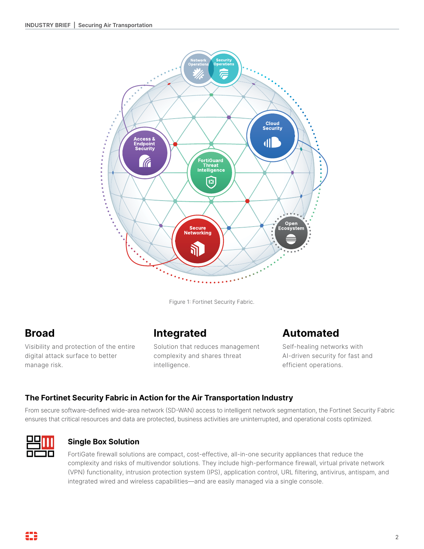

Figure 1: Fortinet Security Fabric.

# **Broad**

Visibility and protection of the entire digital attack surface to better manage risk.

# **Integrated**

Solution that reduces management complexity and shares threat intelligence.

# **Automated**

Self-healing networks with AI-driven security for fast and efficient operations.

# **The Fortinet Security Fabric in Action for the Air Transportation Industry**

From secure software-defined wide-area network (SD-WAN) access to intelligent network segmentation, the Fortinet Security Fabric ensures that critical resources and data are protected, business activities are uninterrupted, and operational costs optimized.



## **Single Box Solution**

FortiGate firewall solutions are compact, cost-effective, all-in-one security appliances that reduce the complexity and risks of multivendor solutions. They include high-performance firewall, virtual private network (VPN) functionality, intrusion protection system (IPS), application control, URL filtering, antivirus, antispam, and integrated wired and wireless capabilities—and are easily managed via a single console.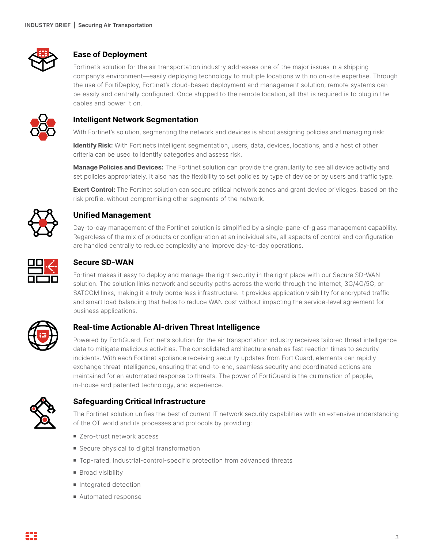

# **Ease of Deployment**

Fortinet's solution for the air transportation industry addresses one of the major issues in a shipping company's environment—easily deploying technology to multiple locations with no on-site expertise. Through the use of FortiDeploy, Fortinet's cloud-based deployment and management solution, remote systems can be easily and centrally configured. Once shipped to the remote location, all that is required is to plug in the cables and power it on.



## **Intelligent Network Segmentation**

With Fortinet's solution, segmenting the network and devices is about assigning policies and managing risk:

**Identify Risk:** With Fortinet's intelligent segmentation, users, data, devices, locations, and a host of other criteria can be used to identify categories and assess risk.

**Manage Policies and Devices:** The Fortinet solution can provide the granularity to see all device activity and set policies appropriately. It also has the flexibility to set policies by type of device or by users and traffic type.

**Exert Control:** The Fortinet solution can secure critical network zones and grant device privileges, based on the risk profile, without compromising other segments of the network.



## **Unified Management**

Day-to-day management of the Fortinet solution is simplified by a single-pane-of-glass management capability. Regardless of the mix of products or configuration at an individual site, all aspects of control and configuration are handled centrally to reduce complexity and improve day-to-day operations.



## **Secure SD-WAN**

Fortinet makes it easy to deploy and manage the right security in the right place with our Secure SD-WAN solution. The solution links network and security paths across the world through the internet, 3G/4G/5G, or SATCOM links, making it a truly borderless infrastructure. It provides application visibility for encrypted traffic and smart load balancing that helps to reduce WAN cost without impacting the service-level agreement for business applications.



## **Real-time Actionable AI-driven Threat Intelligence**

Powered by FortiGuard, Fortinet's solution for the air transportation industry receives tailored threat intelligence data to mitigate malicious activities. The consolidated architecture enables fast reaction times to security incidents. With each Fortinet appliance receiving security updates from FortiGuard, elements can rapidly exchange threat intelligence, ensuring that end-to-end, seamless security and coordinated actions are maintained for an automated response to threats. The power of FortiGuard is the culmination of people, in-house and patented technology, and experience.



# **Safeguarding Critical Infrastructure**

The Fortinet solution unifies the best of current IT network security capabilities with an extensive understanding of the OT world and its processes and protocols by providing:

- Zero-trust network access
- Secure physical to digital transformation
- Top-rated, industrial-control-specific protection from advanced threats
- **Broad visibility**
- **n** Integrated detection
- **Automated response**